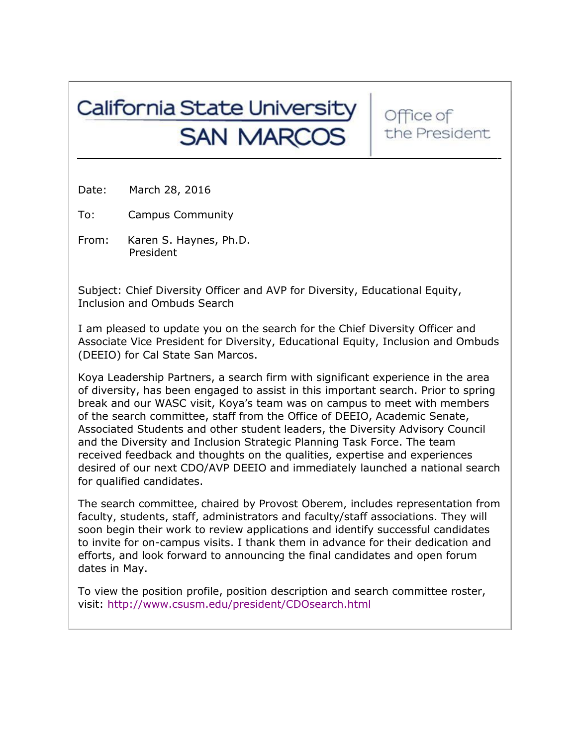## California State University **SAN MARCOS**

Office of the President

Date: March 28, 2016

To: Campus Community

From: Karen S. Haynes, Ph.D. President

Subject: Chief Diversity Officer and AVP for Diversity, Educational Equity, Inclusion and Ombuds Search

I am pleased to update you on the search for the Chief Diversity Officer and Associate Vice President for Diversity, Educational Equity, Inclusion and Ombuds (DEEIO) for Cal State San Marcos.

Koya Leadership Partners, a search firm with significant experience in the area of diversity, has been engaged to assist in this important search. Prior to spring break and our WASC visit, Koya's team was on campus to meet with members of the search committee, staff from the Office of DEEIO, Academic Senate, Associated Students and other student leaders, the Diversity Advisory Council and the Diversity and Inclusion Strategic Planning Task Force. The team received feedback and thoughts on the qualities, expertise and experiences desired of our next CDO/AVP DEEIO and immediately launched a national search for qualified candidates.

The search committee, chaired by Provost Oberem, includes representation from faculty, students, staff, administrators and faculty/staff associations. They will soon begin their work to review applications and identify successful candidates to invite for on-campus visits. I thank them in advance for their dedication and efforts, and look forward to announcing the final candidates and open forum dates in May.

To view the position profile, position description and search committee roster, visit:<http://www.csusm.edu/president/CDOsearch.html>